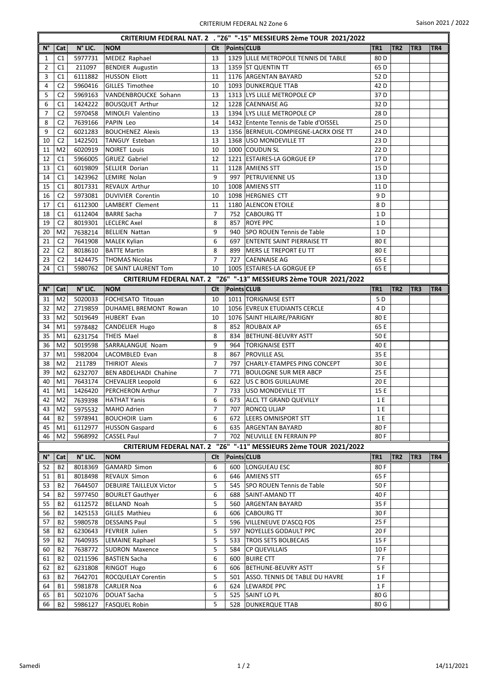| CRITERIUM FEDERAL NAT. 2 . "Z6" "-15" MESSIEURS 2ème TOUR 2021/2022 |                |         |                                |                |                    |                                                                   |                 |                 |                 |     |  |
|---------------------------------------------------------------------|----------------|---------|--------------------------------|----------------|--------------------|-------------------------------------------------------------------|-----------------|-----------------|-----------------|-----|--|
| $N^{\circ}$                                                         | Cat            | N° LIC. | <b>NOM</b>                     | Clt            | <b>Points CLUB</b> |                                                                   | TR1             | TR <sub>2</sub> | TR3             | TR4 |  |
| 1                                                                   | C1             | 5977731 | MEDEZ Raphael                  | 13             |                    | 1329 LILLE METROPOLE TENNIS DE TABLE                              | 80 <sub>D</sub> |                 |                 |     |  |
| $\overline{2}$                                                      | C1             | 211097  | <b>BENDIER Augustin</b>        | 13             |                    | 1359 ST QUENTIN TT                                                | 65 D            |                 |                 |     |  |
| 3                                                                   | C1             | 6111882 | HUSSON Eliott                  | 11             |                    | 1176 ARGENTAN BAYARD                                              | 52D             |                 |                 |     |  |
| 4                                                                   | C <sub>2</sub> | 5960416 | GILLES Timothee                | 10             |                    | 1093 DUNKERQUE TTAB                                               | 42 <sub>D</sub> |                 |                 |     |  |
| 5                                                                   | C <sub>2</sub> | 5969163 | VANDENBROUCKE Sohann           | 13             |                    | 1313 LYS LILLE METROPOLE CP                                       | 37D             |                 |                 |     |  |
| 6                                                                   | C1             | 1424222 | <b>BOUSQUET Arthur</b>         | 12             |                    | 1228 CAENNAISE AG                                                 | 32D             |                 |                 |     |  |
| 7                                                                   | C <sub>2</sub> | 5970458 | MINOLFI Valentino              | 13             |                    | 1394 LYS LILLE METROPOLE CP                                       | 28 D            |                 |                 |     |  |
| 8                                                                   | C <sub>2</sub> | 7639166 | PAPIN Leo                      | 14             |                    | 1432 Entente Tennis de Table d'OISSEL                             | 25 D            |                 |                 |     |  |
| 9                                                                   | C <sub>2</sub> | 6021283 | <b>BOUCHENEZ Alexis</b>        | 13             |                    | 1356 BERNEUIL-COMPIEGNE-LACRX OISE TT                             | 24 D            |                 |                 |     |  |
| 10                                                                  | C <sub>2</sub> | 1422501 | TANGUY Esteban                 | 13             |                    | 1368   USO MONDEVILLE TT                                          | 23 D            |                 |                 |     |  |
| 11                                                                  | M <sub>2</sub> | 6020919 | NOIRET Louis                   | 10             |                    | 1000 COUDUN SL                                                    | 22 D            |                 |                 |     |  |
| 12                                                                  | C1             | 5966005 | GRUEZ Gabriel                  | 12             |                    | 1221 ESTAIRES-LA GORGUE EP                                        | 17 <sub>D</sub> |                 |                 |     |  |
| 13                                                                  | C1             | 6019809 | SELLIER Dorian                 | 11             |                    | 1128 AMIENS STT                                                   | 15 D            |                 |                 |     |  |
| 14                                                                  | C1             | 1423962 | LEMIRE Nolan                   | 9              | 997                | <b>PETRUVIENNE US</b>                                             | 13 D            |                 |                 |     |  |
| 15                                                                  | C1             | 8017331 | <b>REVAUX Arthur</b>           | 10             |                    | 1008 AMIENS STT                                                   | 11 D            |                 |                 |     |  |
| 16                                                                  | C <sub>2</sub> | 5973081 | DUVIVIER Corentin              | 10             |                    | 1098 HERGNIES CTT                                                 | 9 D             |                 |                 |     |  |
| 17                                                                  | C1             | 6112300 | LAMBERT Clement                | 11             |                    | 1180 ALENCON ETOILE                                               | 8 D             |                 |                 |     |  |
| 18                                                                  | C1             | 6112404 | <b>BARRE Sacha</b>             | 7              |                    | 752 CABOURG TT                                                    | 1 D             |                 |                 |     |  |
| 19                                                                  | C <sub>2</sub> | 8019301 | LECLERC Axel                   | 8              | 857                | <b>ROYE PPC</b>                                                   | 1 D             |                 |                 |     |  |
| 20                                                                  | M <sub>2</sub> | 7638214 | <b>BELLIEN Nattan</b>          | 9              | 940                | SPO ROUEN Tennis de Table                                         | 1 D             |                 |                 |     |  |
| 21                                                                  | C <sub>2</sub> | 7641908 | MALEK Kylian                   | 6              | 697                | <b>ENTENTE SAINT PIERRAISE TT</b>                                 | 80 E            |                 |                 |     |  |
| 22                                                                  | C <sub>2</sub> | 8018610 | <b>BATTE Martin</b>            | 8              | 899                | MERS LE TREPORT EU TT                                             | 80 E            |                 |                 |     |  |
| 23                                                                  | C <sub>2</sub> | 1424475 | <b>THOMAS Nicolas</b>          | $\overline{7}$ |                    | 727 CAENNAISE AG                                                  | 65 E            |                 |                 |     |  |
| 24                                                                  | C1             | 5980762 | <b>DE SAINT LAURENT Tom</b>    | 10             |                    | 1005 ESTAIRES-LA GORGUE EP                                        | 65 E            |                 |                 |     |  |
|                                                                     |                |         |                                |                |                    | CRITERIUM FEDERAL NAT. 2 "Z6" "-13" MESSIEURS 2ème TOUR 2021/2022 |                 |                 |                 |     |  |
| $N^{\circ}$                                                         | Cat            | N° LIC. | <b>NOM</b>                     | <b>Clt</b>     | Points CLUB        |                                                                   | TR1             | TR <sub>2</sub> | TR <sub>3</sub> | TR4 |  |
|                                                                     |                |         |                                |                |                    |                                                                   |                 |                 |                 |     |  |
| 31                                                                  | M <sub>2</sub> | 5020033 | FOCHESATO Titouan              | 10             |                    | 1011   TORIGNAISE ESTT                                            | 5 D             |                 |                 |     |  |
| 32                                                                  | M <sub>2</sub> | 2719859 | DUHAMEL BREMONT Rowan          | 10             |                    | 1056 EVREUX ETUDIANTS CERCLE                                      | 4 D             |                 |                 |     |  |
| 33<br>34                                                            | M <sub>2</sub> | 5019649 | HUBERT Evan                    | 10<br>8        |                    | 1076 SAINT HILAIRE/PARIGNY<br>852 ROUBAIX AP                      | 80 E            |                 |                 |     |  |
|                                                                     | M1             | 5978482 | CANDELIER Hugo                 | 8              |                    |                                                                   | 65 E            |                 |                 |     |  |
| 35                                                                  | M1             | 6231754 | THEIS Mael                     | 9              | 834                | <b>BETHUNE-BEUVRY ASTT</b>                                        | 50 E            |                 |                 |     |  |
| 36                                                                  | M <sub>2</sub> | 5019598 | SARRALANGUE Noam               |                | 964                | <b>TORIGNAISE ESTT</b><br><b>PROVILLE ASL</b>                     | 40 E<br>35 E    |                 |                 |     |  |
| 37                                                                  | M1             | 5982004 | LACOMBLED Evan                 | 8              | 867                |                                                                   |                 |                 |                 |     |  |
| 38                                                                  | M <sub>2</sub> | 211789  | <b>THIRIOT Alexis</b>          | 7              | 797                | CHARLY-ETAMPES PING CONCEPT                                       | 30 E            |                 |                 |     |  |
| 39                                                                  | M <sub>2</sub> | 6232707 | <b>BEN ABDELHADI Chahine</b>   | 7              | 771                | <b>BOULOGNE SUR MER ABCP</b>                                      | 25 E            |                 |                 |     |  |
| 40                                                                  | M1             | 7643174 | <b>CHEVALIER Leopold</b>       | 6              |                    | 622   US C BOIS GUILLAUME                                         | 20 E            |                 |                 |     |  |
| 41                                                                  | M1             | 1426420 | <b>PERCHERON Arthur</b>        | $\overline{7}$ |                    | 733 USO MONDEVILLE TT                                             | 15 E            |                 |                 |     |  |
| 42                                                                  | M2             | 7639398 | HATHAT Yanis                   | 6              |                    | 673 ALCL TT GRAND QUEVILLY                                        | $1E$            |                 |                 |     |  |
| 43                                                                  | M2             | 5975532 | MAHO Adrien                    | 7              | 707                | <b>RONCQ ULJAP</b>                                                | 1 E             |                 |                 |     |  |
| 44                                                                  | B2             | 5978941 | <b>BOUCHOIR Liam</b>           | 6              |                    | 672   LEERS OMNISPORT STT                                         | 1 E             |                 |                 |     |  |
| 45                                                                  | M1             | 6112977 | HUSSON Gaspard                 | 6              |                    | 635 ARGENTAN BAYARD                                               | 80F             |                 |                 |     |  |
| 46                                                                  | M <sub>2</sub> | 5968992 | <b>CASSEL Paul</b>             | $\overline{7}$ |                    | 702 NEUVILLE EN FERRAIN PP                                        | 80F             |                 |                 |     |  |
|                                                                     |                |         |                                |                |                    | CRITERIUM FEDERAL NAT. 2 "Z6" "-11" MESSIEURS 2ème TOUR 2021/2022 |                 |                 |                 |     |  |
| N°                                                                  | Cat            | N° LIC. | <b>NOM</b>                     | Clt            | <b>Points CLUB</b> |                                                                   | TR1             | TR <sub>2</sub> | TR <sub>3</sub> | TR4 |  |
| 52                                                                  | B <sub>2</sub> | 8018369 | <b>GAMARD Simon</b>            | 6              | 600                | LONGUEAU ESC                                                      | 80 F            |                 |                 |     |  |
| 51                                                                  | <b>B1</b>      | 8018498 | <b>REVAUX Simon</b>            | 6              | 646                | <b>AMIENS STT</b>                                                 | 65 F            |                 |                 |     |  |
| 53                                                                  | <b>B2</b>      | 7644507 | <b>DEBUIRE TAILLEUX Victor</b> | 5              | 545                | SPO ROUEN Tennis de Table                                         | 50 F            |                 |                 |     |  |
| 54                                                                  | <b>B2</b>      | 5977450 | <b>BOURLET Gauthyer</b>        | 6              | 688                | <b>SAINT-AMAND TT</b>                                             | 40 F            |                 |                 |     |  |
| 55                                                                  | B <sub>2</sub> | 6112572 | <b>BELLAND Noah</b>            | 5              | 560                | <b>ARGENTAN BAYARD</b>                                            | 35 F            |                 |                 |     |  |
| 56                                                                  | B <sub>2</sub> | 1425153 | <b>GILLES Mathieu</b>          | 6              | 606                | <b>CABOURG TT</b>                                                 | 30F             |                 |                 |     |  |
| 57                                                                  | B <sub>2</sub> | 5980578 | <b>DESSAINS Paul</b>           | 5              | 596                | <b>VILLENEUVE D'ASCQ FOS</b>                                      | 25F             |                 |                 |     |  |
| 58                                                                  | <b>B2</b>      | 6230643 | FEVRIER Julien                 | 5              | 597                | NOYELLES GODAULT PPC                                              | 20F             |                 |                 |     |  |
| 59                                                                  | B <sub>2</sub> | 7640935 | <b>LEMAINE Raphael</b>         | 5              | 533                | <b>TROIS SETS BOLBECAIS</b>                                       | 15 F            |                 |                 |     |  |
| 60                                                                  | <b>B2</b>      | 7638772 | SUDRON Maxence                 | 5              | 584                | <b>CP QUEVILLAIS</b>                                              | 10 F            |                 |                 |     |  |
| 61                                                                  | <b>B2</b>      | 0211596 | <b>BASTIEN Sacha</b>           | 6              | 600                | <b>BUIRE CTT</b>                                                  | 7 F             |                 |                 |     |  |
| 62                                                                  | B <sub>2</sub> | 6231808 | <b>RINGOT Hugo</b>             | 6              | 606                | BETHUNE-BEUVRY ASTT                                               | 5F              |                 |                 |     |  |
| 63                                                                  | <b>B2</b>      | 7642701 | ROCQUELAY Corentin             | 5              | 501                | ASSO. TENNIS DE TABLE DU HAVRE                                    | 1 F             |                 |                 |     |  |
| 64                                                                  | <b>B1</b>      | 5981878 | <b>CARLIER Noa</b>             | 6              | 624                | LEWARDE PPC                                                       | 1 F             |                 |                 |     |  |
| 65                                                                  | <b>B1</b>      | 5021076 | <b>DOUAT Sacha</b>             | 5              | 525                | SAINT LO PL                                                       | 80 G            |                 |                 |     |  |
|                                                                     | <b>B2</b>      | 5986127 | <b>FASQUEL Robin</b>           | 5              | 528                | <b>DUNKERQUE TTAB</b>                                             | 80 G            |                 |                 |     |  |